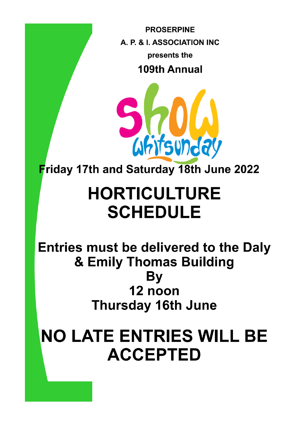**PROSERPINE** A. P. & I. ASSOCIATION INC. presents the **109th Annual** 



Friday 17th and Saturday 18th June 2022

# **HORTICULTURE SCHEDULE**

Entries must be delivered to the Daly & Emily Thomas Building By 12 noon **Thursday 16th June** 

# **NO LATE ENTRIES WILL BE ACCEPTED**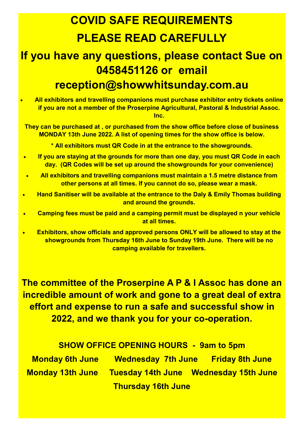## **COVID SAFE REQUIREMENTS PLEASE READ CAREFULLY**

### **If you have any questions, please contact Sue on 0458451126 or email reception@showwhitsunday.com.au**

• **All exhibitors and travelling companions must purchase exhibitor entry tickets online if you are not a member of the Proserpine Agricultural, Pastoral & Industrial Assoc. Inc.**

**They can be purchased at , or purchased from the show office before close of business MONDAY 13th June 2022. A list of opening times for the show office is below.**

**\* All exhibitors must QR Code in at the entrance to the showgrounds.**

- **If you are staying at the grounds for more than one day, you must QR Code in each day. (QR Codes will be set up around the showgrounds for your convenience)**
- **All exhibitors and travelling companions must maintain a 1.5 metre distance from other persons at all times. If you cannot do so, please wear a mask.**
- **Hand Sanitiser will be available at the entrance to the Daly & Emily Thomas building and around the grounds.**
- **Camping fees must be paid and a camping permit must be displayed n your vehicle at all times.**
- **Exhibitors, show officials and approved persons ONLY will be allowed to stay at the showgrounds from Thursday 16th June to Sunday 19th June. There will be no camping available for travellers.**

**The committee of the Proserpine A P & I Assoc has done an incredible amount of work and gone to a great deal of extra effort and expense to run a safe and successful show in 2022, and we thank you for your co-operation.**

**SHOW OFFICE OPENING HOURS - 9am to 5pm Monday 6th June Wednesday 7th June Friday 8th June Monday 13th June Tuesday 14th June Wednesday 15th June Thursday 16th June**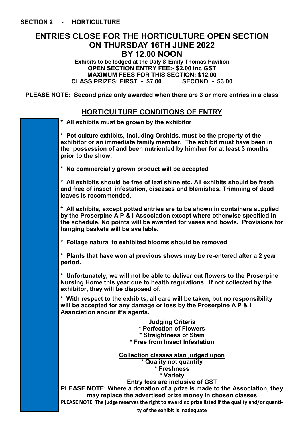#### **ENTRIES CLOSE FOR THE HORTICULTURE OPEN SECTION ON THURSDAY 16TH JUNE 2022 BY 12.00 NOON**

**Exhibits to be lodged at the Daly & Emily Thomas Pavilion OPEN SECTION ENTRY FEE:- \$2.00 inc GST MAXIMUM FEES FOR THIS SECTION: \$12.00 CLASS PRIZES: FIRST - \$7.00 SECOND - \$3.00**

**PLEASE NOTE: Second prize only awarded when there are 3 or more entries in a class**

### **HORTICULTURE CONDITIONS OF ENTRY**

| HURTIGULTURE GONDITIONS OF ENTRY                                                                                                                                                                                                                                               |
|--------------------------------------------------------------------------------------------------------------------------------------------------------------------------------------------------------------------------------------------------------------------------------|
| * All exhibits must be grown by the exhibitor                                                                                                                                                                                                                                  |
| * Pot culture exhibits, including Orchids, must be the property of the<br>exhibitor or an immediate family member. The exhibit must have been in<br>the possession of and been nutriented by him/her for at least 3 months<br>prior to the show.                               |
| * No commercially grown product will be accepted                                                                                                                                                                                                                               |
| * All exhibits should be free of leaf shine etc. All exhibits should be fresh<br>and free of insect infestation, diseases and blemishes. Trimming of dead<br>leaves is recommended.                                                                                            |
| * All exhibits, except potted entries are to be shown in containers supplied<br>by the Proserpine A P & I Association except where otherwise specified in<br>the schedule. No points will be awarded for vases and bowls. Provisions for<br>hanging baskets will be available. |
| * Foliage natural to exhibited blooms should be removed                                                                                                                                                                                                                        |
| * Plants that have won at previous shows may be re-entered after a 2 year<br>period.                                                                                                                                                                                           |
| * Unfortunately, we will not be able to deliver cut flowers to the Proserpine<br>Nursing Home this year due to health regulations. If not collected by the<br>exhibitor, they will be disposed of.                                                                             |
| * With respect to the exhibits, all care will be taken, but no responsibility<br>will be accepted for any damage or loss by the Proserpine A P & I<br>Association and/or it's agents.                                                                                          |
| <b>Judging Criteria</b><br>* Perfection of Flowers<br>* Straightness of Stem<br><b>Free from Insect Infestation</b>                                                                                                                                                            |
| <b>Collection classes also judged upon</b><br>* Quality not quantity<br>* Freshness<br>* Variety                                                                                                                                                                               |
| Entry fees are inclusive of GST<br>PLEASE NOTE: Where a donation of a prize is made to the Association, they<br>may replace the advertised prize money in chosen classes<br>PLEASE NOTE: The judge reserves the right to award no prize listed if the quality and/or quanti-   |
|                                                                                                                                                                                                                                                                                |

**ty of the exhibit is inadequate**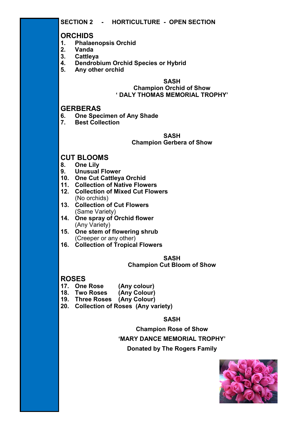#### **ORCHIDS**

- **1. Phalaenopsis Orchid**
- **2. Vanda**
- **3. Cattleya**
- **4. Dendrobium Orchid Species or Hybrid**
- **5. Any other orchid**

#### **SASH Champion Orchid of Show ' DALY THOMAS MEMORIAL TROPHY'**

#### **GERBERAS**

- **6. One Specimen of Any Shade**
- **7. Best Collection**

#### **SASH Champion Gerbera of Show**

#### **CUT BLOOMS**

- **8. One Lily**
- **9. Unusual Flower**
- **10. One Cut Cattleya Orchid**
- **11. Collection of Native Flowers**
- **12. Collection of Mixed Cut Flowers** (No orchids)
- **13. Collection of Cut Flowers**  (Same Variety)
- **14. One spray of Orchid flower**  (Any Variety)
- **15. One stem of flowering shrub**  (Creeper or any other)
- **16. Collection of Tropical Flowers**

#### **SASH**

#### **Champion Cut Bloom of Show**

#### **ROSES**

- **17. One Rose (Any colour)**
- **18. Two Roses (Any Colour)**
- **19. Three Roses (Any Colour)**
- **20. Collection of Roses (Any variety)**

#### **SASH**

**Champion Rose of Show**

#### **'MARY DANCE MEMORIAL TROPHY'**

**Donated by The Rogers Family**

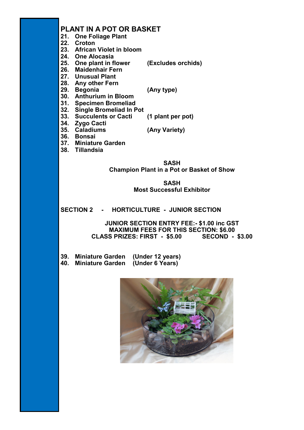#### **PLANT IN A POT OR BASKET**

- **21. One Foliage Plant**
- **22. Croton**
- **23. African Violet in bloom**
- **24. One Alocasia**
- **25. One plant in flower (Excludes orchids)**
- **26. Maidenhair Fern**
- **27. Unusual Plant**
- **28. Any other Fern**
- **29. Begonia (Any type)**

- **30. Anthurium in Bloom**
- **31. Specimen Bromeliad**
- **32. Single Bromeliad In Pot**
- **33. Succulents or Cacti (1 plant per pot)**
- **34. Zygo Cacti**
- **35. Caladiums (Any Variety)**
- **36. Bonsai**
- **37. Miniature Garden**
- **38. Tillandsia**

**SASH Champion Plant in a Pot or Basket of Show**

> **SASH Most Successful Exhibitor**

#### **SECTION 2 - HORTICULTURE - JUNIOR SECTION**

**JUNIOR SECTION ENTRY FEE:- \$1.00 inc GST MAXIMUM FEES FOR THIS SECTION: \$6.00 CLASS PRIZES: FIRST - \$5.00 SECOND - \$3.00**

**39. Miniature Garden (Under 12 years) 40. Miniature Garden (Under 6 Years)**